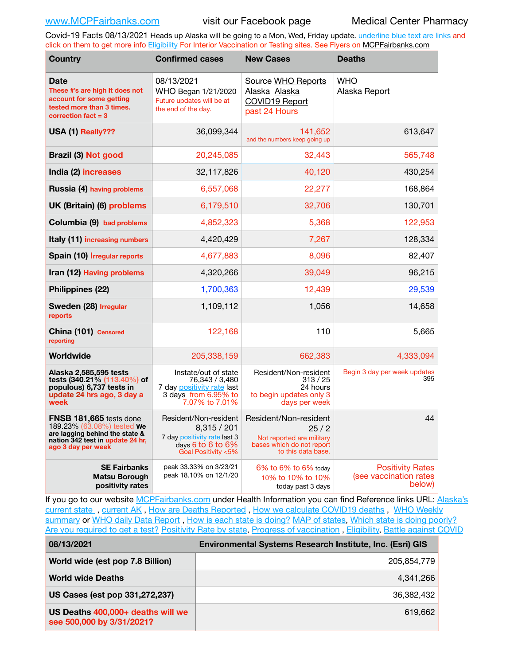Covid-19 Facts 08/13/2021 Heads up Alaska will be going to a Mon, Wed, Friday update. underline blue text are links and click on them to get more info [Eligibility](http://dhss.alaska.gov/dph/Epi/id/Pages/COVID-19/VaccineAvailability.aspx) For Interior Vaccination or Testing sites. See Flyers on [MCPFairbanks.com](http://www.MCPFairbanks.com)

| <b>Country</b>                                                                                                                                           | <b>Confirmed cases</b>                                                                                              | <b>New Cases</b>                                                                                              | <b>Deaths</b>                                               |
|----------------------------------------------------------------------------------------------------------------------------------------------------------|---------------------------------------------------------------------------------------------------------------------|---------------------------------------------------------------------------------------------------------------|-------------------------------------------------------------|
| <b>Date</b><br>These #'s are high It does not<br>account for some getting<br>tested more than 3 times.<br>correction fact $=$ 3                          | 08/13/2021<br>WHO Began 1/21/2020<br>Future updates will be at<br>the end of the day.                               | Source WHO Reports<br>Alaska Alaska<br>COVID19 Report<br>past 24 Hours                                        | <b>WHO</b><br>Alaska Report                                 |
| USA (1) Really???                                                                                                                                        | 36,099,344                                                                                                          | 141,652<br>and the numbers keep going up                                                                      | 613,647                                                     |
| <b>Brazil (3) Not good</b>                                                                                                                               | 20,245,085                                                                                                          | 32,443                                                                                                        | 565,748                                                     |
| India (2) increases                                                                                                                                      | 32,117,826                                                                                                          | 40,120                                                                                                        | 430,254                                                     |
| <b>Russia (4) having problems</b>                                                                                                                        | 6,557,068                                                                                                           | 22,277                                                                                                        | 168,864                                                     |
| UK (Britain) (6) problems                                                                                                                                | 6,179,510                                                                                                           | 32,706                                                                                                        | 130,701                                                     |
| Columbia (9) bad problems                                                                                                                                | 4,852,323                                                                                                           | 5,368                                                                                                         | 122,953                                                     |
| <b>Italy (11) increasing numbers</b>                                                                                                                     | 4,420,429                                                                                                           | 7,267                                                                                                         | 128,334                                                     |
| Spain (10) Irregular reports                                                                                                                             | 4,677,883                                                                                                           | 8,096                                                                                                         | 82,407                                                      |
| Iran (12) Having problems                                                                                                                                | 4,320,266                                                                                                           | 39,049                                                                                                        | 96,215                                                      |
| Philippines (22)                                                                                                                                         | 1,700,363                                                                                                           | 12,439                                                                                                        | 29,539                                                      |
| Sweden (28) Irregular<br>reports                                                                                                                         | 1,109,112                                                                                                           | 1,056                                                                                                         | 14,658                                                      |
| China (101) Censored<br>reporting                                                                                                                        | 122,168                                                                                                             | 110                                                                                                           | 5,665                                                       |
| Worldwide                                                                                                                                                | 205,338,159                                                                                                         | 662,383                                                                                                       | 4,333,094                                                   |
| Alaska 2,585,595 tests<br>tests (340.21% (113.40%) of<br>populous) 6,737 tests in<br>update 24 hrs ago, 3 day a<br>week                                  | Instate/out of state<br>76,343 / 3,480<br>7 day positivity rate last<br>3 days from 6.95% to<br>7.07% to 7.01%      | Resident/Non-resident<br>313/25<br>24 hours<br>to begin updates only 3<br>days per week                       | Begin 3 day per week updates<br>395                         |
| <b>FNSB 181,665</b> tests done<br>189.23% (63.08%) tested We<br>are lagging behind the state &<br>nation 342 test in update 24 hr,<br>ago 3 day per week | Resident/Non-resident<br>8,315 / 201<br>7 day positivity rate last 3<br>days 6 to 6 to $6\%$<br>Goal Positivity <5% | Resident/Non-resident<br>25/2<br>Not reported are military<br>bases which do not report<br>to this data base. | 44                                                          |
| <b>SE Fairbanks</b><br><b>Matsu Borough</b><br>positivity rates                                                                                          | peak 33.33% on 3/23/21<br>peak 18.10% on 12/1/20                                                                    | $6\%$ to $6\%$ to $6\%$ today<br>10% to 10% to 10%<br>today past 3 days                                       | <b>Positivity Rates</b><br>(see vaccination rates<br>below) |

If you go to our website [MCPFairbanks.com](http://www.MCPFairbanks.com) under Health Information you can find Reference links URL: Alaska's [current state](https://coronavirus-response-alaska-dhss.hub.arcgis.com) , [current AK](http://dhss.alaska.gov/dph/Epi/id/Pages/COVID-19/communications.aspx#cases) , [How are Deaths Reported](http://dhss.alaska.gov/dph/Epi/id/Pages/COVID-19/deathcounts.aspx) , [How we calculate COVID19 deaths](https://coronavirus-response-alaska-dhss.hub.arcgis.com/search?collection=Document&groupIds=41ccb3344ebc4bd682c74073eba21f42) , [WHO Weekly](http://www.who.int)  [summary](http://www.who.int) or [WHO daily Data Report](https://covid19.who.int/table), [How is each state is doing?](https://www.msn.com/en-us/news/us/state-by-state-coronavirus-news/ar-BB13E1PX?fbclid=IwAR0_OBJH7lSyTN3ug_MsOeFnNgB1orTa9OBgilKJ7dhnwlVvHEsptuKkj1c) [MAP of states,](https://www.nationalgeographic.com/science/graphics/graphic-tracking-coronavirus-infections-us?cmpid=org=ngp::mc=crm-email::src=ngp::cmp=editorial::add=SpecialEdition_20210305&rid=B9A6DF5992658E8E35CE023113CFEA4C) [Which state is doing poorly?](https://bestlifeonline.com/covid-outbreak-your-state/?utm_source=nsltr&utm_medium=email&utm_content=covid-outbreak-your-state&utm_campaign=launch) [Are you required to get a test?](http://dhss.alaska.gov/dph/Epi/id/SiteAssets/Pages/HumanCoV/Whattodoafteryourtest.pdf) [Positivity Rate by state](https://coronavirus.jhu.edu/testing/individual-states/alaska), Progress of vaccination, [Eligibility,](http://dhss.alaska.gov/dph/Epi/id/Pages/COVID-19/VaccineAvailability.aspx) [Battle against COVID](https://www.nationalgeographic.com/science/graphics/graphic-tracking-coronavirus-infections-us?cmpid=org=ngp::mc=crm-email::src=ngp::cmp=editorial::add=SpecialEdition_20210219&rid=B9A6DF5992658E8E35CE023113CFEA4C)

**08/13/2021 Environmental Systems Research Institute, Inc. (Esri) GIS**

| World wide (est pop 7.8 Billion)                               | 205,854,779 |
|----------------------------------------------------------------|-------------|
| <b>World wide Deaths</b>                                       | 4,341,266   |
| US Cases (est pop 331,272,237)                                 | 36,382,432  |
| US Deaths 400,000+ deaths will we<br>see 500,000 by 3/31/2021? | 619.662     |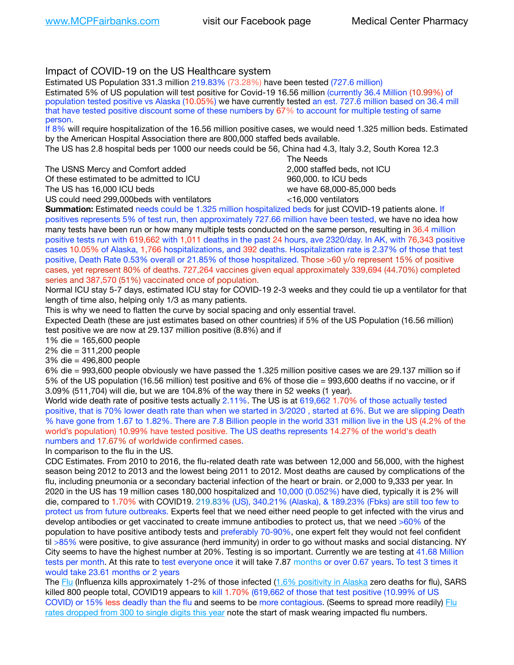### Impact of COVID-19 on the US Healthcare system

Estimated US Population 331.3 million 219.83% (73.28%) have been tested (727.6 million) Estimated 5% of US population will test positive for Covid-19 16.56 million (currently 36.4 Million (10.99%) of population tested positive vs Alaska (10.05%) we have currently tested an est. 727.6 million based on 36.4 mill that have tested positive discount some of these numbers by 67% to account for multiple testing of same person.

If 8% will require hospitalization of the 16.56 million positive cases, we would need 1.325 million beds. Estimated by the American Hospital Association there are 800,000 staffed beds available.

The US has 2.8 hospital beds per 1000 our needs could be 56, China had 4.3, Italy 3.2, South Korea 12.3

The USNS Mercy and Comfort added 2,000 staffed beds, not ICU Of these estimated to be admitted to ICU  $\qquad \qquad$  960,000, to ICU beds The US has 16,000 ICU beds we have 68,000-85,000 beds ve have 68,000-85,000 beds

US could need 299,000 beds with ventilators  $\leq$ 16,000 ventilators

 The Needs

**Summation:** Estimated needs could be 1.325 million hospitalized beds for just COVID-19 patients alone. If positives represents 5% of test run, then approximately 727.66 million have been tested, we have no idea how many tests have been run or how many multiple tests conducted on the same person, resulting in 36.4 million positive tests run with 619,662 with 1,011 deaths in the past 24 hours, ave 2320/day. In AK, with 76,343 positive cases 10.05% of Alaska, 1,766 hospitalizations, and 392 deaths. Hospitalization rate is 2.37% of those that test positive, Death Rate 0.53% overall or 21.85% of those hospitalized. Those >60 y/o represent 15% of positive cases, yet represent 80% of deaths. 727,264 vaccines given equal approximately 339,694 (44.70%) completed series and 387,570 (51%) vaccinated once of population.

Normal ICU stay 5-7 days, estimated ICU stay for COVID-19 2-3 weeks and they could tie up a ventilator for that length of time also, helping only 1/3 as many patients.

This is why we need to flatten the curve by social spacing and only essential travel.

Expected Death (these are just estimates based on other countries) if 5% of the US Population (16.56 million) test positive we are now at 29.137 million positive (8.8%) and if

1% die = 165,600 people

2% die = 311,200 people

3% die = 496,800 people

6% die = 993,600 people obviously we have passed the 1.325 million positive cases we are 29.137 million so if 5% of the US population (16.56 million) test positive and 6% of those die = 993,600 deaths if no vaccine, or if 3.09% (511,704) will die, but we are 104.8% of the way there in 52 weeks (1 year).

World wide death rate of positive tests actually 2.11%. The US is at 619,662 1.70% of those actually tested positive, that is 70% lower death rate than when we started in 3/2020 , started at 6%. But we are slipping Death % have gone from 1.67 to 1.82%. There are 7.8 Billion people in the world 331 million live in the US (4.2% of the world's population) 10.99% have tested positive. The US deaths represents 14.27% of the world's death numbers and 17.67% of worldwide confirmed cases.

In comparison to the flu in the US.

CDC Estimates. From 2010 to 2016, the flu-related death rate was between 12,000 and 56,000, with the highest season being 2012 to 2013 and the lowest being 2011 to 2012. Most deaths are caused by complications of the flu, including pneumonia or a secondary bacterial infection of the heart or brain. or 2,000 to 9,333 per year. In 2020 in the US has 19 million cases 180,000 hospitalized and 10,000 (0.052%) have died, typically it is 2% will die, compared to 1.70% with COVID19. 219.83% (US), 340.21% (Alaska), & 189.23% (Fbks) are still too few to protect us from future outbreaks. Experts feel that we need either need people to get infected with the virus and develop antibodies or get vaccinated to create immune antibodies to protect us, that we need >60% of the population to have positive antibody tests and preferably 70-90%, one expert felt they would not feel confident til >85% were positive, to give assurance (herd immunity) in order to go without masks and social distancing. NY City seems to have the highest number at 20%. Testing is so important. Currently we are testing at 41.68 Million tests per month. At this rate to test everyone once it will take 7.87 months or over 0.67 years. To test 3 times it would take 23.61 months or 2 years

The [Flu](https://lnks.gd/l/eyJhbGciOiJIUzI1NiJ9.eyJidWxsZXRpbl9saW5rX2lkIjoxMDMsInVyaSI6ImJwMjpjbGljayIsImJ1bGxldGluX2lkIjoiMjAyMTAyMjYuMzYwNDA3NTEiLCJ1cmwiOiJodHRwczovL3d3dy5jZGMuZ292L2ZsdS93ZWVrbHkvb3ZlcnZpZXcuaHRtIn0.ePMA_hsZ-pTnhWSyg1gHvHWYTu2XceVOt0JejxvP1WE/s/500544915/br/98428119752-l) (Influenza kills approximately 1-2% of those infected ([1.6% positivity in Alaska](http://dhss.alaska.gov/dph/Epi/id/SiteAssets/Pages/influenza/trends/Snapshot.pdf) zero deaths for flu), SARS killed 800 people total, COVID19 appears to kill 1.70% (619,662 of those that test positive (10.99% of US COVID) or 15% less deadly than the flu and seems to be more contagious. (Seems to spread more readily) [Flu](https://lnks.gd/l/eyJhbGciOiJIUzI1NiJ9.eyJidWxsZXRpbl9saW5rX2lkIjoxMDEsInVyaSI6ImJwMjpjbGljayIsImJ1bGxldGluX2lkIjoiMjAyMTAyMjYuMzYwNDA3NTEiLCJ1cmwiOiJodHRwOi8vZGhzcy5hbGFza2EuZ292L2RwaC9FcGkvaWQvUGFnZXMvaW5mbHVlbnphL2ZsdWluZm8uYXNweCJ9.oOe3nt2fww6XpsNhb4FZfmtPfPa-irGaldpkURBJhSo/s/500544915/br/98428119752-l)  [rates dropped from 300 to single digits this year](https://lnks.gd/l/eyJhbGciOiJIUzI1NiJ9.eyJidWxsZXRpbl9saW5rX2lkIjoxMDEsInVyaSI6ImJwMjpjbGljayIsImJ1bGxldGluX2lkIjoiMjAyMTAyMjYuMzYwNDA3NTEiLCJ1cmwiOiJodHRwOi8vZGhzcy5hbGFza2EuZ292L2RwaC9FcGkvaWQvUGFnZXMvaW5mbHVlbnphL2ZsdWluZm8uYXNweCJ9.oOe3nt2fww6XpsNhb4FZfmtPfPa-irGaldpkURBJhSo/s/500544915/br/98428119752-l) note the start of mask wearing impacted flu numbers.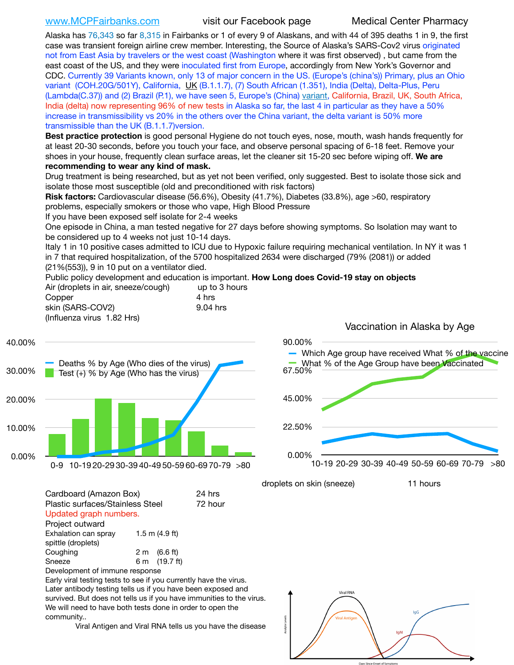[www.MCPFairbanks.com](http://www.MCPFairbanks.com) visit our Facebook page Medical Center Pharmacy

Alaska has 76,343 so far 8,315 in Fairbanks or 1 of every 9 of Alaskans, and with 44 of 395 deaths 1 in 9, the first case was transient foreign airline crew member. Interesting, the Source of Alaska's SARS-Cov2 virus originated not from East Asia by travelers or the west coast (Washington where it was first observed) , but came from the east coast of the US, and they were inoculated first from Europe, accordingly from New York's Governor and CDC. Currently 39 Variants known, only 13 of major concern in the US. (Europe's (china's)) Primary, plus an Ohio variant (COH.20G/501Y), California, [UK](https://www.cdc.gov/coronavirus/2019-ncov/transmission/variant-cases.html) (B.1.1.7), (7) South African (1.351), India (Delta), Delta-Plus, Peru (Lambda(C.37)) and (2) Brazil (P.1), we have seen 5, Europe's (China) [variant](https://www.webmd.com/lung/news/20210318/cdc-who-create-threat-levels-for-covid-variants?ecd=wnl_cvd_031921&ctr=wnl-cvd-031921&mb=kYbf7DsHb7YGjh/1RUkcAW0T6iorImAU1TDZh18RYs0=_Support_titleLink_2), California, Brazil, UK, South Africa, India (delta) now representing 96% of new tests in Alaska so far, the last 4 in particular as they have a 50% increase in transmissibility vs 20% in the others over the China variant, the delta variant is 50% more transmissible than the UK (B.1.1.7)version.

**Best practice protection** is good personal Hygiene do not touch eyes, nose, mouth, wash hands frequently for at least 20-30 seconds, before you touch your face, and observe personal spacing of 6-18 feet. Remove your shoes in your house, frequently clean surface areas, let the cleaner sit 15-20 sec before wiping off. **We are recommending to wear any kind of mask.**

Drug treatment is being researched, but as yet not been verified, only suggested. Best to isolate those sick and isolate those most susceptible (old and preconditioned with risk factors)

**Risk factors:** Cardiovascular disease (56.6%), Obesity (41.7%), Diabetes (33.8%), age >60, respiratory problems, especially smokers or those who vape, High Blood Pressure

If you have been exposed self isolate for 2-4 weeks

One episode in China, a man tested negative for 27 days before showing symptoms. So Isolation may want to be considered up to 4 weeks not just 10-14 days.

Italy 1 in 10 positive cases admitted to ICU due to Hypoxic failure requiring mechanical ventilation. In NY it was 1 in 7 that required hospitalization, of the 5700 hospitalized 2634 were discharged (79% (2081)) or added (21%(553)), 9 in 10 put on a ventilator died.

Public policy development and education is important. **How Long does Covid-19 stay on objects** Air (droplets in air, sneeze/cough) up to 3 hours

Copper 4 hrs skin (SARS-COV2) 9.04 hrs (Influenza virus 1.82 Hrs)

Vaccination in Alaska by Age

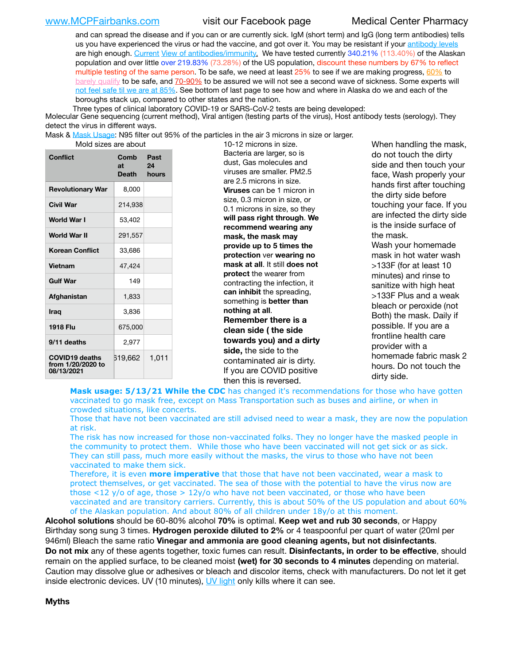and can spread the disease and if you can or are currently sick. IgM (short term) and IgG (long term antibodies) tells us you have experienced the virus or had the vaccine, and got over it. You may be resistant if your [antibody levels](https://www.cdc.gov/coronavirus/2019-ncov/lab/resources/antibody-tests.html) are high enough. [Current](https://l.facebook.com/l.php?u=https://www.itv.com/news/2020-10-26/covid-19-antibody-levels-reduce-over-time-study-finds?fbclid=IwAR3Dapzh1qIH1EIOdUQI2y8THf7jfA4KBCaJz8Qg-8xe1YsrR4nsAHDIXSY&h=AT30nut8pkqp0heVuz5W2rT2WFFm-2Ab52BsJxZZCNlGsX58IpPkuVEPULbIUV_M16MAukx1Kwb657DPXxsgDN1rpOQ4gqBtQsmVYiWpnHPJo2RQsU6CPMd14lgLnQnFWxfVi6zvmw&__tn__=-UK-R&c%5B0%5D=AT1GaRAfR_nGAyqcn7TI1-PpvqOqEKXHnz6TDWvRStMnOSH7boQDvTiwTOc6VId9UES6LKiOmm2m88wKCoolkJyOFvakt2Z1Mw8toYWGGoWW23r0MNVBl7cYJXB_UOvGklNHaNnaNr1_S7NhT3BSykNOBg) [View of antibodies/immunity](https://www.livescience.com/antibodies.html)[.](https://www.itv.com/news/2020-10-26/covid-19-antibody-levels-reduce-over-time-study-finds) We have tested currently 340.21% (113.40%) of the Alaskan population and over little over 219.83% (73.28%) of the US population, discount these numbers by 67% to reflect multiple testing of the same person. To be safe, we need at least 25% to see if we are making progress, [60%](https://www.jhsph.edu/covid-19/articles/achieving-herd-immunity-with-covid19.html) to [barely qualify](https://www.nature.com/articles/d41586-020-02948-4) to be safe, and [70-90%](https://www.mayoclinic.org/herd-immunity-and-coronavirus/art-20486808) to be assured we will not see a second wave of sickness. Some experts will [not feel safe til we are at 85%](https://www.bannerhealth.com/healthcareblog/teach-me/what-is-herd-immunity). See bottom of last page to see how and where in Alaska do we and each of the boroughs stack up, compared to other states and the nation.

Three types of clinical laboratory COVID-19 or SARS-CoV-2 tests are being developed:

 Molecular Gene sequencing (current method), Viral antigen (testing parts of the virus), Host antibody tests (serology). They detect the virus in different ways.

Mask & [Mask Usage:](https://www.nationalgeographic.com/history/2020/03/how-cities-flattened-curve-1918-spanish-flu-pandemic-coronavirus/) N95 filter out 95% of the particles in the air 3 microns in size or larger.

| Conflict                                                 | Comb<br>at<br>Death | Past<br>24<br>hours |
|----------------------------------------------------------|---------------------|---------------------|
| <b>Revolutionary War</b>                                 | 8,000               |                     |
| Civil War                                                | 214,938             |                     |
| <b>World War I</b>                                       | 53,402              |                     |
| World War II                                             | 291,557             |                     |
| <b>Korean Conflict</b>                                   | 33,686              |                     |
| Vietnam                                                  | 47,424              |                     |
| <b>Gulf War</b>                                          | 149                 |                     |
| Afghanistan                                              | 1,833               |                     |
| Iraq                                                     | 3,836               |                     |
| 1918 Flu                                                 | 675,000             |                     |
| 9/11 deaths                                              | 2,977               |                     |
| <b>COVID19 deaths</b><br>from 1/20/2020 to<br>08/13/2021 | 519,662             | 1,011               |

Mold sizes are about 10-12 microns in size. Bacteria are larger, so is dust, Gas molecules and viruses are smaller. PM2.5 are 2.5 microns in size. **Viruses** can be 1 micron in size, 0.3 micron in size, or 0.1 microns in size, so they **will pass right through**. **We recommend wearing any mask, the mask may provide up to 5 times the protection** ver **wearing no mask at all**. It still **does not protect** the wearer from contracting the infection, it **can inhibit** the spreading, something is **better than nothing at all**. **Remember there is a clean side ( the side towards you) and a dirty side,** the side to the contaminated air is dirty. If you are COVID positive then this is reversed.

When handling the mask, do not touch the dirty side and then touch your face, Wash properly your hands first after touching the dirty side before touching your face. If you are infected the dirty side is the inside surface of the mask. Wash your homemade mask in hot water wash >133F (for at least 10 minutes) and rinse to sanitize with high heat >133F Plus and a weak bleach or peroxide (not Both) the mask. Daily if possible. If you are a frontline health care provider with a homemade fabric mask 2 hours. Do not touch the dirty side.

Mask usage: 5/13/21 While the CDC has changed it's recommendations for those who have gotten vaccinated to go mask free, except on Mass Transportation such as buses and airline, or when in crowded situations, like concerts.

Those that have not been vaccinated are still advised need to wear a mask, they are now the population at risk.

The risk has now increased for those non-vaccinated folks. They no longer have the masked people in the community to protect them. While those who have been vaccinated will not get sick or as sick. They can still pass, much more easily without the masks, the virus to those who have not been vaccinated to make them sick.

Therefore, it is even **more imperative** that those that have not been vaccinated, wear a mask to protect themselves, or get vaccinated. The sea of those with the potential to have the virus now are those <12 y/o of age, those >  $12y$ /o who have not been vaccinated, or those who have been vaccinated and are transitory carriers. Currently, this is about 50% of the US population and about 60% of the Alaskan population. And about 80% of all children under 18y/o at this moment.

**Alcohol solutions** should be 60-80% alcohol **70%** is optimal. **Keep wet and rub 30 seconds**, or Happy Birthday song sung 3 times. **Hydrogen peroxide diluted to 2%** or 4 teaspoonful per quart of water (20ml per 946ml) Bleach the same ratio **Vinegar and ammonia are good cleaning agents, but not disinfectants**. **Do not mix** any of these agents together, toxic fumes can result. **Disinfectants, in order to be effective**, should remain on the applied surface, to be cleaned moist **(wet) for 30 seconds to 4 minutes** depending on material. Caution may dissolve glue or adhesives or bleach and discolor items, check with manufacturers. Do not let it get inside electronic devices. UV (10 minutes), [UV light](http://www.docreviews.me/best-uv-boxes-2020/?fbclid=IwAR3bvFtXB48OoBBSvYvTEnKuHNPbipxM6jUo82QUSw9wckxjC7wwRZWabGw) only kills where it can see.

**Myths**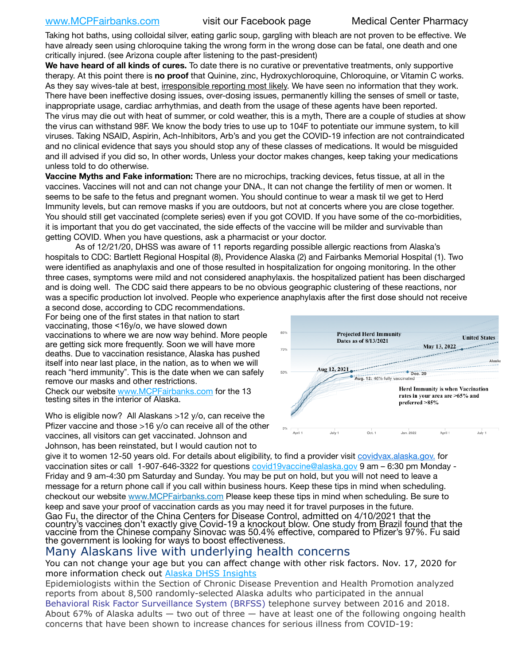Taking hot baths, using colloidal silver, eating garlic soup, gargling with bleach are not proven to be effective. We have already seen using chloroquine taking the wrong form in the wrong dose can be fatal, one death and one critically injured. (see Arizona couple after listening to the past-president)

**We have heard of all kinds of cures.** To date there is no curative or preventative treatments, only supportive therapy. At this point there is **no proof** that Quinine, zinc, Hydroxychloroquine, Chloroquine, or Vitamin C works. As they say wives-tale at best, irresponsible reporting most likely. We have seen no information that they work. There have been ineffective dosing issues, over-dosing issues, permanently killing the senses of smell or taste, inappropriate usage, cardiac arrhythmias, and death from the usage of these agents have been reported. The virus may die out with heat of summer, or cold weather, this is a myth, There are a couple of studies at show the virus can withstand 98F. We know the body tries to use up to 104F to potentiate our immune system, to kill viruses. Taking NSAID, Aspirin, Ach-Inhibitors, Arb's and you get the COVID-19 infection are not contraindicated and no clinical evidence that says you should stop any of these classes of medications. It would be misguided and ill advised if you did so, In other words, Unless your doctor makes changes, keep taking your medications unless told to do otherwise.

**Vaccine Myths and Fake information:** There are no microchips, tracking devices, fetus tissue, at all in the vaccines. Vaccines will not and can not change your DNA., It can not change the fertility of men or women. It seems to be safe to the fetus and pregnant women. You should continue to wear a mask til we get to Herd Immunity levels, but can remove masks if you are outdoors, but not at concerts where you are close together. You should still get vaccinated (complete series) even if you got COVID. If you have some of the co-morbidities, it is important that you do get vaccinated, the side effects of the vaccine will be milder and survivable than getting COVID. When you have questions, ask a pharmacist or your doctor.

As of 12/21/20, DHSS was aware of 11 reports regarding possible allergic reactions from Alaska's hospitals to CDC: Bartlett Regional Hospital (8), Providence Alaska (2) and Fairbanks Memorial Hospital (1). Two were identified as anaphylaxis and one of those resulted in hospitalization for ongoing monitoring. In the other three cases, symptoms were mild and not considered anaphylaxis. the hospitalized patient has been discharged and is doing well. The CDC said there appears to be no obvious geographic clustering of these reactions, nor was a specific production lot involved. People who experience anaphylaxis after the first dose should not receive

a second dose, according to CDC recommendations. For being one of the first states in that nation to start vaccinating, those <16y/o, we have slowed down vaccinations to where we are now way behind. More people are getting sick more frequently. Soon we will have more deaths. Due to vaccination resistance, Alaska has pushed itself into near last place, in the nation, as to when we will reach "herd immunity". This is the date when we can safely remove our masks and other restrictions.

Check our website [www.MCPFairbanks.com](http://www.MCPFairbanks.com) for the 13 testing sites in the interior of Alaska.

Who is eligible now? All Alaskans >12 y/o, can receive the Pfizer vaccine and those >16 y/o can receive all of the other vaccines, all visitors can get vaccinated. Johnson and Johnson, has been reinstated, but I would caution not to



give it to women 12-50 years old. For details about eligibility, to find a provider visit [covidvax.alaska.gov.](https://lnks.gd/l/eyJhbGciOiJIUzI1NiJ9.eyJidWxsZXRpbl9saW5rX2lkIjoxMDYsInVyaSI6ImJwMjpjbGljayIsImJ1bGxldGluX2lkIjoiMjAyMTAxMjguMzQwODU3NjEiLCJ1cmwiOiJodHRwOi8vZGhzcy5hbGFza2EuZ292L2RwaC9FcGkvaWQvUGFnZXMvQ09WSUQtMTkvdmFjY2luZS5hc3B4In0.-Xwhl42jAWOMS7ewfS85uxwrwjohCso3Sb81DuDKtxU/s/500544915/br/93796640171-l) for vaccination sites or call 1-907-646-3322 for questions [covid19vaccine@alaska.gov](mailto:covid19vaccine@alaska.gov?subject=COVID19%20Vaccine%20questions) 9 am – 6:30 pm Monday -Friday and 9 am-4:30 pm Saturday and Sunday. You may be put on hold, but you will not need to leave a message for a return phone call if you call within business hours. Keep these tips in mind when scheduling. checkout our website [www.MCPFairbanks.com](http://www.MCPFairbanks.com) Please keep these tips in mind when scheduling. Be sure to keep and save your proof of vaccination cards as you may need it for travel purposes in the future. Gao Fu, the director of the China Centers for Disease Control, admitted on 4/10/2021 that the country's vaccines don't exactly give Covid-19 a knockout blow. One study from Brazil found that the vaccine from the Chinese company Sinovac was 50.4% effective, compared to Pfizer's 97%. Fu said the government is looking for ways to boost effectiveness.

# Many Alaskans live with underlying health concerns

You can not change your age but you can affect change with other risk factors. Nov. 17, 2020 for more information check out [Alaska DHSS Insights](http://dhss.alaska.gov/dph/Epi/id/Pages/COVID-19/blog/20201117.aspx)

Epidemiologists within the Section of Chronic Disease Prevention and Health Promotion analyzed reports from about 8,500 randomly-selected Alaska adults who participated in the annual [Behavioral Risk Factor Surveillance System \(BRFSS\)](http://dhss.alaska.gov/dph/Chronic/Pages/brfss/default.aspx) telephone survey between 2016 and 2018. About 67% of Alaska adults  $-$  two out of three  $-$  have at least one of the following ongoing health concerns that have been shown to increase chances for serious illness from COVID-19: